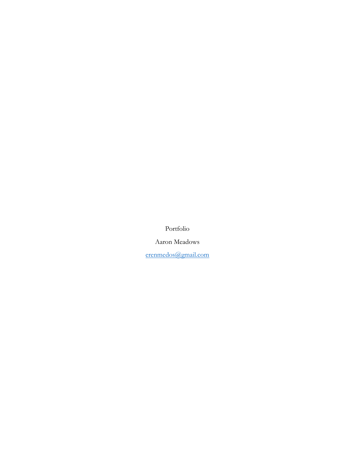Portfolio

Aaron Meadows

[erenmedos@gmail.com](mailto:erenmedos@gmail.com)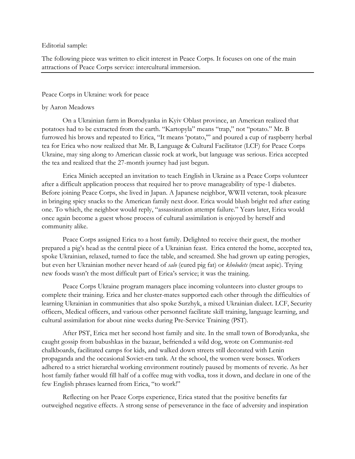Editorial sample:

The following piece was written to elicit interest in Peace Corps. It focuses on one of the main attractions of Peace Corps service: intercultural immersion.

#### Peace Corps in Ukraine: work for peace

#### by Aaron Meadows

On a Ukrainian farm in Borodyanka in Kyiv Oblast province, an American realized that potatoes had to be extracted from the earth. "Kartopyla" means "trap," not "potato." Mr. B furrowed his brows and repeated to Erica, "It means 'potato,'" and poured a cup of raspberry herbal tea for Erica who now realized that Mr. B, Language & Cultural Facilitator (LCF) for Peace Corps Ukraine, may sing along to American classic rock at work, but language was serious. Erica accepted the tea and realized that the 27-month journey had just begun.

Erica Minich accepted an invitation to teach English in Ukraine as a Peace Corps volunteer after a difficult application process that required her to prove manageability of type-1 diabetes. Before joining Peace Corps, she lived in Japan. A Japanese neighbor, WWII veteran, took pleasure in bringing spicy snacks to the American family next door. Erica would blush bright red after eating one. To which, the neighbor would reply, "assassination attempt failure." Years later, Erica would once again become a guest whose process of cultural assimilation is enjoyed by herself and community alike.

Peace Corps assigned Erica to a host family. Delighted to receive their guest, the mother prepared a pig's head as the central piece of a Ukrainian feast. Erica entered the home, accepted tea, spoke Ukrainian, relaxed, turned to face the table, and screamed. She had grown up eating perogies, but even her Ukrainian mother never heard of *salo* (cured pig fat) or *kholodets* (meat aspic). Trying new foods wasn't the most difficult part of Erica's service; it was the training.

Peace Corps Ukraine program managers place incoming volunteers into cluster groups to complete their training. Erica and her cluster-mates supported each other through the difficulties of learning Ukrainian in communities that also spoke Surzhyk, a mixed Ukrainian dialect. LCF, Security officers, Medical officers, and various other personnel facilitate skill training, language learning, and cultural assimilation for about nine weeks during Pre-Service Training (PST).

After PST, Erica met her second host family and site. In the small town of Borodyanka, she caught gossip from babushkas in the bazaar, befriended a wild dog, wrote on Communist-red chalkboards, facilitated camps for kids, and walked down streets still decorated with Lenin propaganda and the occasional Soviet-era tank. At the school, the women were bosses. Workers adhered to a strict hierarchal working environment routinely paused by moments of reverie. As her host family father would fill half of a coffee mug with vodka, toss it down, and declare in one of the few English phrases learned from Erica, "to work!"

Reflecting on her Peace Corps experience, Erica stated that the positive benefits far outweighed negative effects. A strong sense of perseverance in the face of adversity and inspiration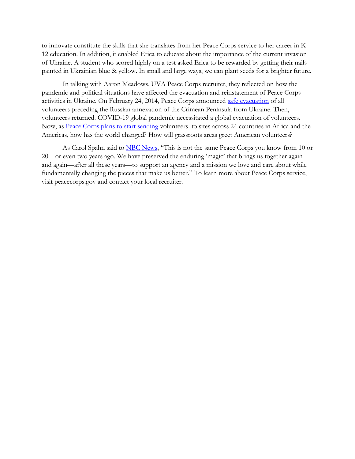to innovate constitute the skills that she translates from her Peace Corps service to her career in K-12 education. In addition, it enabled Erica to educate about the importance of the current invasion of Ukraine. A student who scored highly on a test asked Erica to be rewarded by getting their nails painted in Ukrainian blue & yellow. In small and large ways, we can plant seeds for a brighter future.

In talking with Aaron Meadows, UVA Peace Corps recruiter, they reflected on how the pandemic and political situations have affected the evacuation and reinstatement of Peace Corps activities in Ukraine. On February 24, 2014, Peace Corps announced [safe evacuation](https://www.peacecorps.gov/news/library/peace-corps-ukraine-volunteers-evacuated-safely/) of all volunteers preceding the Russian annexation of the Crimean Peninsula from Ukraine. Then, volunteers returned. COVID-19 global pandemic necessitated a global evacuation of volunteers. Now, as [Peace Corps plans to start sending](https://apnews.com/article/coronavirus-pandemic-health-covid-19-pandemic-dominican-republic-government-programs-cd864e93a5dcf7478fca035a5f037e64) volunteers to sites across 24 countries in Africa and the Americas, how has the world changed? How will grassroots areas greet American volunteers?

As Carol Spahn said to **NBC News**, "This is not the same Peace Corps you know from 10 or 20 – or even two years ago. We have preserved the enduring 'magic' that brings us together again and again—after all these years—to support an agency and a mission we love and care about while fundamentally changing the pieces that make us better." To learn more about Peace Corps service, visit peacecorps.gov and contact your local recruiter.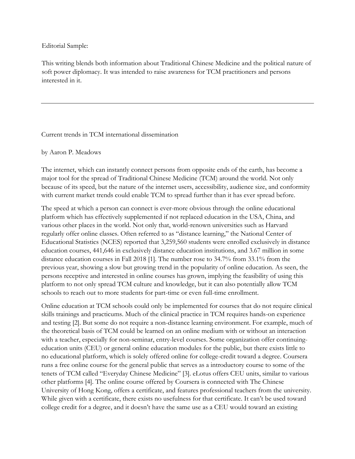Editorial Sample:

This writing blends both information about Traditional Chinese Medicine and the political nature of soft power diplomacy. It was intended to raise awareness for TCM practitioners and persons interested in it.

## Current trends in TCM international dissemination

by Aaron P. Meadows

The internet, which can instantly connect persons from opposite ends of the earth, has become a major tool for the spread of Traditional Chinese Medicine (TCM) around the world. Not only because of its speed, but the nature of the internet users, accessibility, audience size, and conformity with current market trends could enable TCM to spread further than it has ever spread before.

The speed at which a person can connect is ever-more obvious through the online educational platform which has effectively supplemented if not replaced education in the USA, China, and various other places in the world. Not only that, world-renown universities such as Harvard regularly offer online classes. Often referred to as "distance learning," the National Center of Educational Statistics (NCES) reported that 3,259,560 students were enrolled exclusively in distance education courses, 441,646 in exclusively distance education institutions, and 3.67 million in some distance education courses in Fall 2018 [1]. The number rose to 34.7% from 33.1% from the previous year, showing a slow but growing trend in the popularity of online education. As seen, the persons receptive and interested in online courses has grown, implying the feasibility of using this platform to not only spread TCM culture and knowledge, but it can also potentially allow TCM schools to reach out to more students for part-time or even full-time enrollment.

Online education at TCM schools could only be implemented for courses that do not require clinical skills trainings and practicums. Much of the clinical practice in TCM requires hands-on experience and testing [2]. But some do not require a non-distance learning environment. For example, much of the theoretical basis of TCM could be learned on an online medium with or without an interaction with a teacher, especially for non-seminar, entry-level courses. Some organization offer continuingeducation units (CEU) or general online education modules for the public, but there exists little to no educational platform, which is solely offered online for college-credit toward a degree. Coursera runs a free online course for the general public that serves as a introductory course to some of the tenets of TCM called "Everyday Chinese Medicine" [3]. eLotus offers CEU units, similar to various other platforms [4]. The online course offered by Coursera is connected with The Chinese University of Hong Kong, offers a certificate, and features professional teachers from the university. While given with a certificate, there exists no usefulness for that certificate. It can't be used toward college credit for a degree, and it doesn't have the same use as a CEU would toward an existing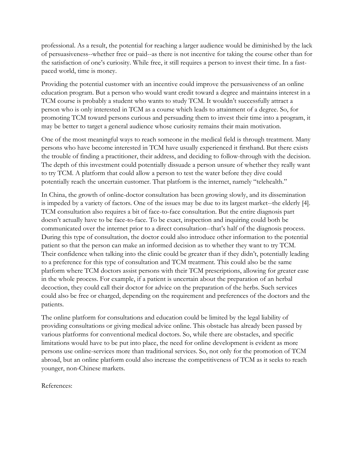professional. As a result, the potential for reaching a larger audience would be diminished by the lack of persuasiveness--whether free or paid--as there is not incentive for taking the course other than for the satisfaction of one's curiosity. While free, it still requires a person to invest their time. In a fastpaced world, time is money.

Providing the potential customer with an incentive could improve the persuasiveness of an online education program. But a person who would want credit toward a degree and maintains interest in a TCM course is probably a student who wants to study TCM. It wouldn't successfully attract a person who is only interested in TCM as a course which leads to attainment of a degree. So, for promoting TCM toward persons curious and persuading them to invest their time into a program, it may be better to target a general audience whose curiosity remains their main motivation.

One of the most meaningful ways to reach someone in the medical field is through treatment. Many persons who have become interested in TCM have usually experienced it firsthand. But there exists the trouble of finding a practitioner, their address, and deciding to follow-through with the decision. The depth of this investment could potentially dissuade a person unsure of whether they really want to try TCM. A platform that could allow a person to test the water before they dive could potentially reach the uncertain customer. That platform is the internet, namely "telehealth."

In China, the growth of online-doctor consultation has been growing slowly, and its dissemination is impeded by a variety of factors. One of the issues may be due to its largest market--the elderly [4]. TCM consultation also requires a bit of face-to-face consultation. But the entire diagnosis part doesn't actually have to be face-to-face. To be exact, inspection and inquiring could both be communicated over the internet prior to a direct consultation--that's half of the diagnosis process. During this type of consultation, the doctor could also introduce other information to the potential patient so that the person can make an informed decision as to whether they want to try TCM. Their confidence when talking into the clinic could be greater than if they didn't, potentially leading to a preference for this type of consultation and TCM treatment. This could also be the same platform where TCM doctors assist persons with their TCM prescriptions, allowing for greater ease in the whole process. For example, if a patient is uncertain about the preparation of an herbal decoction, they could call their doctor for advice on the preparation of the herbs. Such services could also be free or charged, depending on the requirement and preferences of the doctors and the patients.

The online platform for consultations and education could be limited by the legal liability of providing consultations or giving medical advice online. This obstacle has already been passed by various platforms for conventional medical doctors. So, while there are obstacles, and specific limitations would have to be put into place, the need for online development is evident as more persons use online-services more than traditional services. So, not only for the promotion of TCM abroad, but an online platform could also increase the competitiveness of TCM as it seeks to reach younger, non-Chinese markets.

References: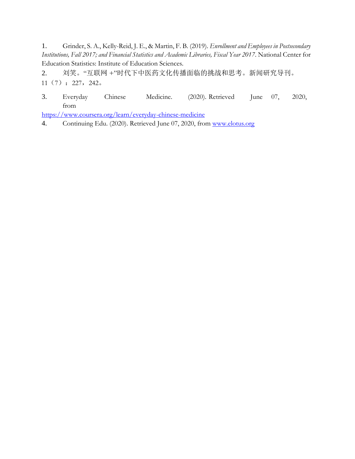1. Grinder, S. A., Kelly-Reid, J. E., & Martin, F. B. (2019). *Enrollment and Employees in Postsecondary Institutions, Fall 2017; and Financial Statistics and Academic Libraries, Fiscal Year 2017*. National Center for Education Statistics: Institute of Education Sciences.

2. 刘笑。"互联网 +"时代下中医药文化传播面临的挑战和思考。新闻研究导刊。 11(7):227,242。

3. Everyday Chinese Medicine. (2020). Retrieved June 07, 2020, from

<https://www.coursera.org/learn/everyday-chinese-medicine>

4. Continuing Edu. (2020). Retrieved June 07, 2020, from [www.elotus.org](http://www.elotus.org/)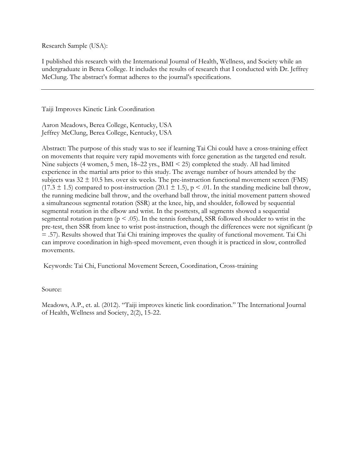Research Sample (USA):

I published this research with the International Journal of Health, Wellness, and Society while an undergraduate in Berea College. It includes the results of research that I conducted with Dr. Jeffrey McClung. The abstract's format adheres to the journal's specifications.

Taiji Improves Kinetic Link Coordination

Aaron Meadows, Berea College, Kentucky, USA Jeffrey McClung, Berea College, Kentucky, USA

Abstract: The purpose of this study was to see if learning Tai Chi could have a cross-training effect on movements that require very rapid movements with force generation as the targeted end result. Nine subjects (4 women, 5 men, 18–22 yrs., BMI < 25) completed the study. All had limited experience in the martial arts prior to this study. The average number of hours attended by the subjects was  $32 \pm 10.5$  hrs. over six weeks. The pre-instruction functional movement screen (FMS)  $(17.3 \pm 1.5)$  compared to post-instruction  $(20.1 \pm 1.5)$ , p < .01. In the standing medicine ball throw, the running medicine ball throw, and the overhand ball throw, the initial movement pattern showed a simultaneous segmental rotation (SSR) at the knee, hip, and shoulder, followed by sequential segmental rotation in the elbow and wrist. In the posttests, all segments showed a sequential segmental rotation pattern ( $p < .05$ ). In the tennis forehand, SSR followed shoulder to wrist in the pre-test, then SSR from knee to wrist post-instruction, though the differences were not significant (p = .57). Results showed that Tai Chi training improves the quality of functional movement. Tai Chi can improve coordination in high-speed movement, even though it is practiced in slow, controlled movements.

Keywords: Tai Chi, Functional Movement Screen, Coordination, Cross-training

### Source:

Meadows, A.P., et. al. (2012). "Taiji improves kinetic link coordination." The International Journal of Health, Wellness and Society, 2(2), 15-22.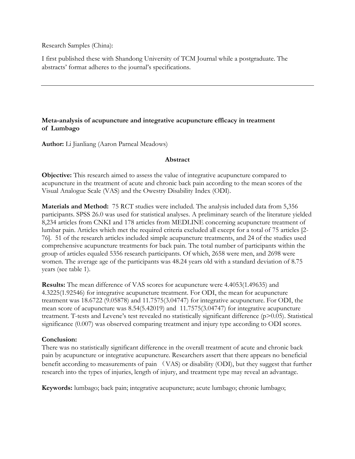Research Samples (China):

I first published these with Shandong University of TCM Journal while a postgraduate. The abstracts' format adheres to the journal's specifications.

# **Meta-analysis of acupuncture and integrative acupuncture efficacy in treatment of Lumbago**

**Author:** Li Jianliang (Aaron Parneal Meadows)

## **Abstract**

**Objective:** This research aimed to assess the value of integrative acupuncture compared to acupuncture in the treatment of acute and chronic back pain according to the mean scores of the Visual Analogue Scale (VAS) and the Owestry Disability Index (ODI).

**Materials and Method:** 75 RCT studies were included. The analysis included data from 5,356 participants. SPSS 26.0 was used for statistical analyses. A preliminary search of the literature yielded 8,234 articles from CNKI and 178 articles from MEDLINE concerning acupuncture treatment of lumbar pain. Articles which met the required criteria excluded all except for a total of 75 articles [2- 76]. 51 of the research articles included simple acupuncture treatments, and 24 of the studies used comprehensive acupuncture treatments for back pain. The total number of participants within the group of articles equaled 5356 research participants. Of which, 2658 were men, and 2698 were women. The average age of the participants was 48.24 years old with a standard deviation of 8.75 years (see table 1).

**Results:** The mean difference of VAS scores for acupuncture were 4.4053(1.49635) and 4.3225(1.92546) for integrative acupuncture treatment. For ODI, the mean for acupuncture treatment was 18.6722 (9.05878) and 11.7575(3.04747) for integrative acupuncture. For ODI, the mean score of acupuncture was 8.54(5.42019) and 11.7575(3.04747) for integrative acupuncture treatment. T-tests and Levene's test revealed no statistically significant difference (p>0.05). Statistical significance (0.007) was observed comparing treatment and injury type according to ODI scores.

## **Conclusion:**

There was no statistically significant difference in the overall treatment of acute and chronic back pain by acupuncture or integrative acupuncture. Researchers assert that there appears no beneficial benefit according to measurements of pain (VAS) or disability (ODI), but they suggest that further research into the types of injuries, length of injury, and treatment type may reveal an advantage.

**Keywords:** lumbago; back pain; integrative acupuncture; acute lumbago; chronic lumbago;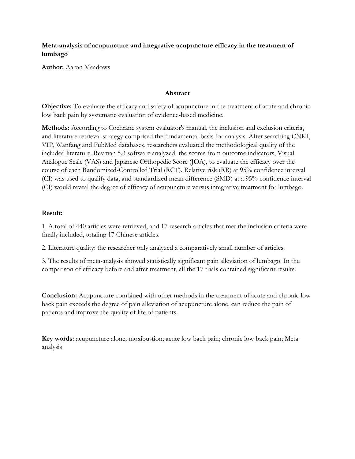**Meta-analysis of acupuncture and integrative acupuncture efficacy in the treatment of lumbago**

**Author:** Aaron Meadows

## **Abstract**

**Objective:** To evaluate the efficacy and safety of acupuncture in the treatment of acute and chronic low back pain by systematic evaluation of evidence-based medicine.

**Methods:** According to Cochrane system evaluator's manual, the inclusion and exclusion criteria, and literature retrieval strategy comprised the fundamental basis for analysis. After searching CNKI, VIP, Wanfang and PubMed databases, researchers evaluated the methodological quality of the included literature. Revman 5.3 software analyzed the scores from outcome indicators, Visual Analogue Scale (VAS) and Japanese Orthopedic Score (JOA), to evaluate the efficacy over the course of each Randomized-Controlled Trial (RCT). Relative risk (RR) at 95% confidence interval (CI) was used to qualify data, and standardized mean difference (SMD) at a 95% confidence interval (CI) would reveal the degree of efficacy of acupuncture versus integrative treatment for lumbago.

### **Result:**

1. A total of 440 articles were retrieved, and 17 research articles that met the inclusion criteria were finally included, totaling 17 Chinese articles.

2. Literature quality: the researcher only analyzed a comparatively small number of articles.

3. The results of meta-analysis showed statistically significant pain alleviation of lumbago. In the comparison of efficacy before and after treatment, all the 17 trials contained significant results.

**Conclusion:** Acupuncture combined with other methods in the treatment of acute and chronic low back pain exceeds the degree of pain alleviation of acupuncture alone, can reduce the pain of patients and improve the quality of life of patients.

**Key words:** acupuncture alone; moxibustion; acute low back pain; chronic low back pain; Metaanalysis